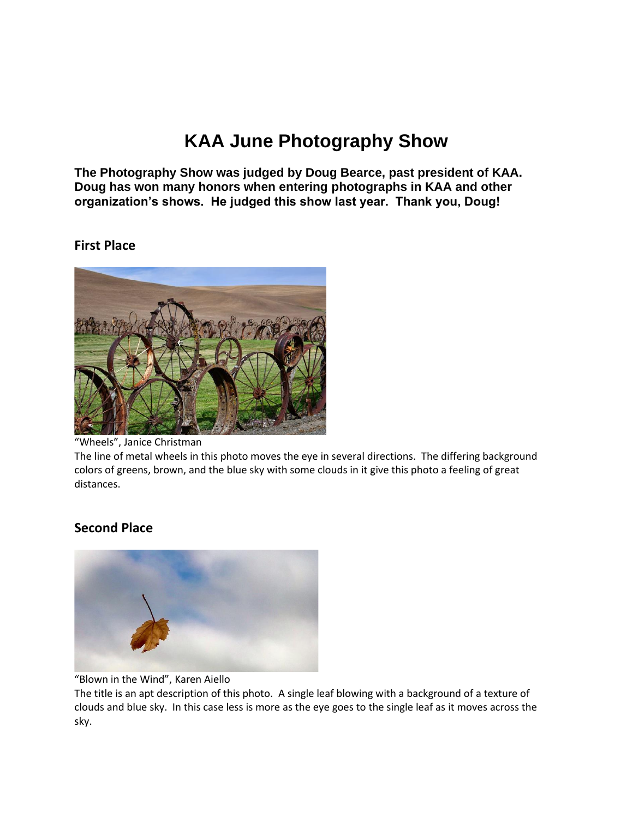# **KAA June Photography Show**

**The Photography Show was judged by Doug Bearce, past president of KAA. Doug has won many honors when entering photographs in KAA and other organization's shows. He judged this show last year. Thank you, Doug!**

#### **First Place**



"Wheels", Janice Christman

The line of metal wheels in this photo moves the eye in several directions. The differing background colors of greens, brown, and the blue sky with some clouds in it give this photo a feeling of great distances.

## **Second Place**



"Blown in the Wind", Karen Aiello

The title is an apt description of this photo. A single leaf blowing with a background of a texture of clouds and blue sky. In this case less is more as the eye goes to the single leaf as it moves across the sky.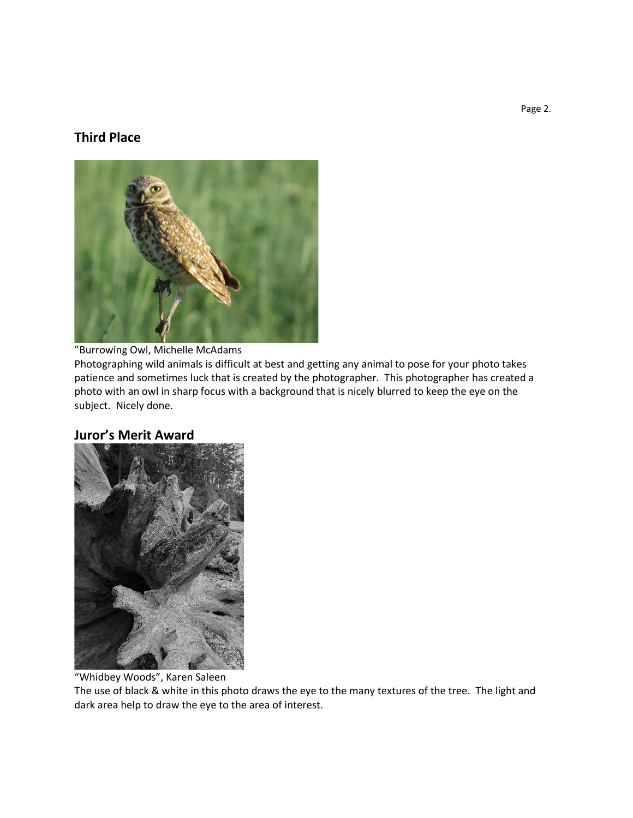### **Third Place**



"Burrowing Owl, Michelle McAdams

Photographing wild animals is difficult at best and getting any animal to pose for your photo takes patience and sometimes luck that is created by the photographer. This photographer has created a photo with an owl in sharp focus with a background that is nicely blurred to keep the eye on the subject. Nicely done.

#### **Juror's Merit Award**



"Whidbey Woods", Karen Saleen

The use of black & white in this photo draws the eye to the many textures of the tree. The light and dark area help to draw the eye to the area of interest.